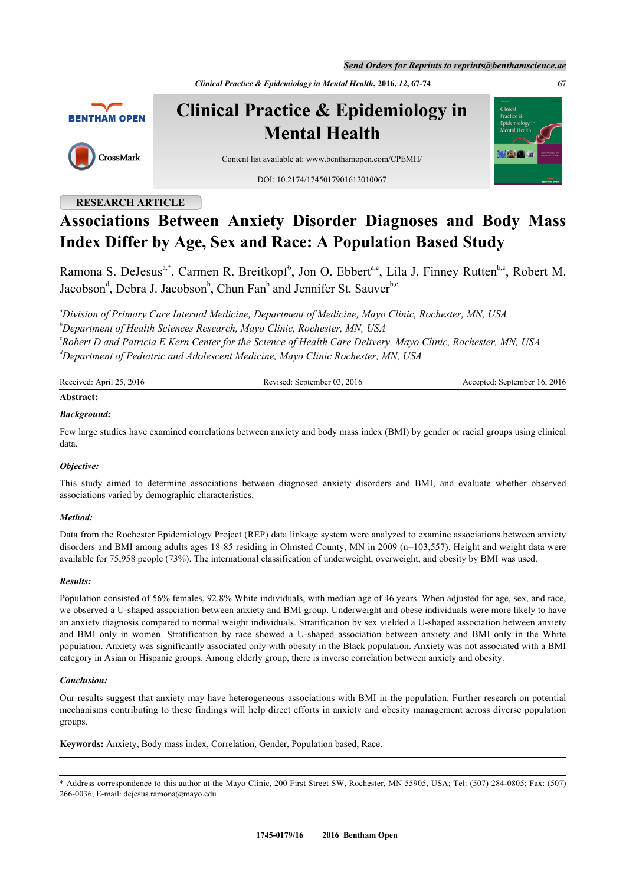*Send Orders for Reprints to reprints@benthamscience.ae*

*Clinical Practice & Epidemiology in Mental Health***, 2016,** *12***, 67-74 67**



**Clinical Practice & Epidemiology in Mental Health**



Content list available at: [www.benthamopen.com/CPEMH/](http://www.benthamopen.com/CPEMH/)

DOI: [10.2174/1745017901612010067](http://dx.doi.org/10.2174/1745017901612010067)

# **RESEARCH ARTICLE**

# **Associations Between Anxiety Disorder Diagnoses and Body Mass Index Differ by Age, Sex and Race: A Population Based Study**

Ramona S. DeJesus<sup>[a,](#page-0-0)[\\*](#page-0-1)</sup>, Carmen R. Breitkopf<sup>[b](#page-0-2)</sup>, Jon O. Ebbert<sup>a,[c](#page-0-3)</sup>, Lila J. Finney Rutten<sup>b,c</sup>, Robert M. Jacobson<sup>[d](#page-0-4)</sup>, De[b](#page-0-2)ra J. Ja[c](#page-0-3)obson<sup>b</sup>, Chun Fan<sup>b</sup> and Jennifer St. Sauver<sup>b,c</sup>

<span id="page-0-3"></span><span id="page-0-2"></span><span id="page-0-0"></span>*<sup>a</sup>Division of Primary Care Internal Medicine, Department of Medicine, Mayo Clinic, Rochester, MN, USA <sup>b</sup>Department of Health Sciences Research, Mayo Clinic, Rochester, MN, USA c Robert D and Patricia E Kern Center for the Science of Health Care Delivery, Mayo Clinic, Rochester, MN, USA <sup>d</sup>Department of Pediatric and Adolescent Medicine, Mayo Clinic Rochester, MN, USA*

<span id="page-0-4"></span>

| Received: April 25, 2016 | Revised: September 03, 2016 | Accepted: September 16, 2016 |
|--------------------------|-----------------------------|------------------------------|
| Abstract:                |                             |                              |

# *Background:*

Few large studies have examined correlations between anxiety and body mass index (BMI) by gender or racial groups using clinical data.

# *Objective:*

This study aimed to determine associations between diagnosed anxiety disorders and BMI, and evaluate whether observed associations varied by demographic characteristics.

# *Method:*

Data from the Rochester Epidemiology Project (REP) data linkage system were analyzed to examine associations between anxiety disorders and BMI among adults ages 18-85 residing in Olmsted County, MN in 2009 (n=103,557). Height and weight data were available for 75,958 people (73%). The international classification of underweight, overweight, and obesity by BMI was used.

# *Results:*

Population consisted of 56% females, 92.8% White individuals, with median age of 46 years. When adjusted for age, sex, and race, we observed a U-shaped association between anxiety and BMI group. Underweight and obese individuals were more likely to have an anxiety diagnosis compared to normal weight individuals. Stratification by sex yielded a U-shaped association between anxiety and BMI only in women. Stratification by race showed a U-shaped association between anxiety and BMI only in the White population. Anxiety was significantly associated only with obesity in the Black population. Anxiety was not associated with a BMI category in Asian or Hispanic groups. Among elderly group, there is inverse correlation between anxiety and obesity.

# *Conclusion:*

Our results suggest that anxiety may have heterogeneous associations with BMI in the population. Further research on potential mechanisms contributing to these findings will help direct efforts in anxiety and obesity management across diverse population groups.

**Keywords:** Anxiety, Body mass index, Correlation, Gender, Population based, Race.

<span id="page-0-1"></span><sup>\*</sup> Address correspondence to this author at the Mayo Clinic, 200 First Street SW, Rochester, MN 55905, USA; Tel: (507) 284-0805; Fax: (507) 266-0036; E-mail: [dejesus.ramona@mayo.edu](mailto:dejesus.ramona@mayo.edu)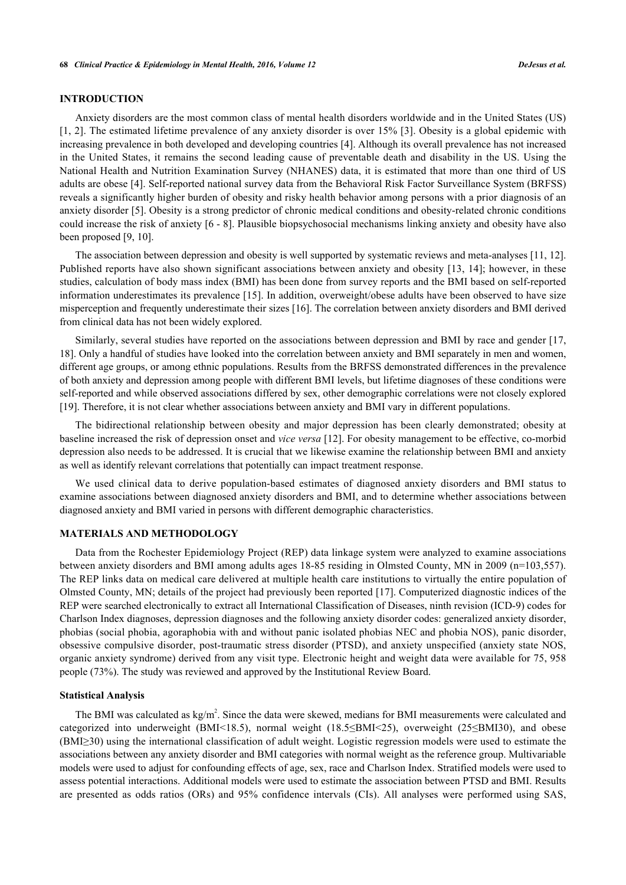# **INTRODUCTION**

Anxiety disorders are the most common class of mental health disorders worldwide and in the United States (US) [\[1](#page-5-0), [2](#page-5-1)]. The estimated lifetime prevalence of any anxiety disorder is over 15% [[3\]](#page-5-2). Obesity is a global epidemic with increasing prevalence in both developed and developing countries [\[4](#page-5-3)]. Although its overall prevalence has not increased in the United States, it remains the second leading cause of preventable death and disability in the US. Using the National Health and Nutrition Examination Survey (NHANES) data, it is estimated that more than one third of US adults are obese [[4\]](#page-5-3). Self-reported national survey data from the Behavioral Risk Factor Surveillance System (BRFSS) reveals a significantly higher burden of obesity and risky health behavior among persons with a prior diagnosis of an anxiety disorder [\[5](#page-5-4)]. Obesity is a strong predictor of chronic medical conditions and obesity-related chronic conditions could increase the risk of anxiety [\[6](#page-5-5) - [8](#page-5-6)]. Plausible biopsychosocial mechanisms linking anxiety and obesity have also been proposed [[9,](#page-6-0) [10\]](#page-6-1).

The association between depression and obesity is well supported by systematic reviews and meta-analyses [[11,](#page-6-2) [12\]](#page-6-3). Published reports have also shown significant associations between anxiety and obesity [\[13,](#page-6-4) [14\]](#page-6-5); however, in these studies, calculation of body mass index (BMI) has been done from survey reports and the BMI based on self-reported information underestimates its prevalence [[15\]](#page-6-6). In addition, overweight/obese adults have been observed to have size misperception and frequently underestimate their sizes [\[16](#page-6-7)]. The correlation between anxiety disorders and BMI derived from clinical data has not been widely explored.

Similarly, several studies have reported on the associations between depression and BMI by race and gender [[17](#page-6-8), [18\]](#page-6-9). Only a handful of studies have looked into the correlation between anxiety and BMI separately in men and women, different age groups, or among ethnic populations. Results from the BRFSS demonstrated differences in the prevalence of both anxiety and depression among people with different BMI levels, but lifetime diagnoses of these conditions were self-reported and while observed associations differed by sex, other demographic correlations were not closely explored [\[19](#page-6-10)]. Therefore, it is not clear whether associations between anxiety and BMI vary in different populations.

The bidirectional relationship between obesity and major depression has been clearly demonstrated; obesity at baseline increased the risk of depression onset and *vice versa* [[12\]](#page-6-3). For obesity management to be effective, co-morbid depression also needs to be addressed. It is crucial that we likewise examine the relationship between BMI and anxiety as well as identify relevant correlations that potentially can impact treatment response.

We used clinical data to derive population-based estimates of diagnosed anxiety disorders and BMI status to examine associations between diagnosed anxiety disorders and BMI, and to determine whether associations between diagnosed anxiety and BMI varied in persons with different demographic characteristics.

# **MATERIALS AND METHODOLOGY**

Data from the Rochester Epidemiology Project (REP) data linkage system were analyzed to examine associations between anxiety disorders and BMI among adults ages 18-85 residing in Olmsted County, MN in 2009 (n=103,557). The REP links data on medical care delivered at multiple health care institutions to virtually the entire population of Olmsted County, MN; details of the project had previously been reported [[17\]](#page-6-8). Computerized diagnostic indices of the REP were searched electronically to extract all International Classification of Diseases, ninth revision (ICD-9) codes for Charlson Index diagnoses, depression diagnoses and the following anxiety disorder codes: generalized anxiety disorder, phobias (social phobia, agoraphobia with and without panic isolated phobias NEC and phobia NOS), panic disorder, obsessive compulsive disorder, post-traumatic stress disorder (PTSD), and anxiety unspecified (anxiety state NOS, organic anxiety syndrome) derived from any visit type. Electronic height and weight data were available for 75, 958 people (73%). The study was reviewed and approved by the Institutional Review Board.

#### **Statistical Analysis**

The BMI was calculated as  $kg/m^2$ . Since the data were skewed, medians for BMI measurements were calculated and categorized into underweight (BMI<18.5), normal weight (18.5≤BMI˂25), overweight (25≤BMI30), and obese (BMI≥30) using the international classification of adult weight. Logistic regression models were used to estimate the associations between any anxiety disorder and BMI categories with normal weight as the reference group. Multivariable models were used to adjust for confounding effects of age, sex, race and Charlson Index. Stratified models were used to assess potential interactions. Additional models were used to estimate the association between PTSD and BMI. Results are presented as odds ratios (ORs) and 95% confidence intervals (CIs). All analyses were performed using SAS,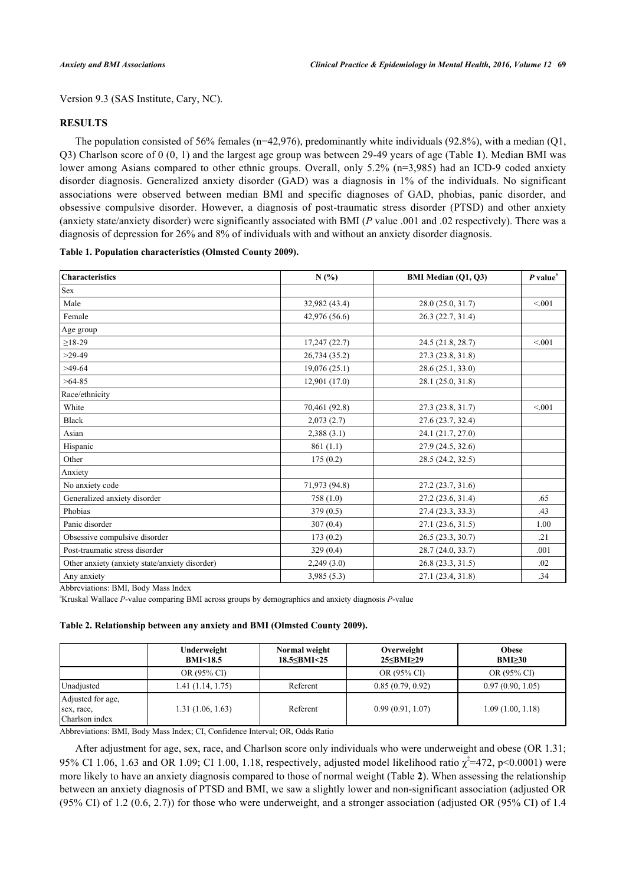Version 9.3 (SAS Institute, Cary, NC).

# **RESULTS**

The population consisted of 56% females (n=42,976), predominantly white individuals (92.8%), with a median (Q1, Q3) Charlson score of 0 (0, 1) and the largest age group was between 29-49 years of age (Table **[1](#page-2-0)**). Median BMI was lower among Asians compared to other ethnic groups. Overall, only 5.2% (n=3,985) had an ICD-9 coded anxiety disorder diagnosis. Generalized anxiety disorder (GAD) was a diagnosis in 1% of the individuals. No significant associations were observed between median BMI and specific diagnoses of GAD, phobias, panic disorder, and obsessive compulsive disorder. However, a diagnosis of post-traumatic stress disorder (PTSD) and other anxiety (anxiety state/anxiety disorder) were significantly associated with BMI (*P* value .001 and .02 respectively). There was a diagnosis of depression for 26% and 8% of individuals with and without an anxiety disorder diagnosis.

# <span id="page-2-0"></span>**Table 1. Population characteristics (Olmsted County 2009).**

| <b>Characteristics</b>                         | N(%)          | <b>BMI Median (Q1, Q3)</b> | $P$ value <sup><math>a</math></sup> |
|------------------------------------------------|---------------|----------------------------|-------------------------------------|
| Sex                                            |               |                            |                                     |
| Male                                           | 32,982 (43.4) | 28.0 (25.0, 31.7)          | < 0.01                              |
| Female                                         | 42,976 (56.6) | 26.3 (22.7, 31.4)          |                                     |
| Age group                                      |               |                            |                                     |
| $\geq$ 18-29                                   | 17,247 (22.7) | 24.5 (21.8, 28.7)          | < 0.01                              |
| $>29-49$                                       | 26,734 (35.2) | 27.3 (23.8, 31.8)          |                                     |
| $>49-64$                                       | 19,076(25.1)  | 28.6 (25.1, 33.0)          |                                     |
| $>64-85$                                       | 12,901 (17.0) | 28.1 (25.0, 31.8)          |                                     |
| Race/ethnicity                                 |               |                            |                                     |
| White                                          | 70,461 (92.8) | 27.3 (23.8, 31.7)          | < 0.01                              |
| <b>Black</b>                                   | 2,073(2.7)    | 27.6(23.7, 32.4)           |                                     |
| Asian                                          | 2,388(3.1)    | 24.1 (21.7, 27.0)          |                                     |
| Hispanic                                       | 861(1.1)      | 27.9 (24.5, 32.6)          |                                     |
| Other                                          | 175(0.2)      | 28.5 (24.2, 32.5)          |                                     |
| Anxiety                                        |               |                            |                                     |
| No anxiety code                                | 71,973 (94.8) | 27.2 (23.7, 31.6)          |                                     |
| Generalized anxiety disorder                   | 758(1.0)      | 27.2 (23.6, 31.4)          | .65                                 |
| Phobias                                        | 379(0.5)      | 27.4(23.3, 33.3)           | .43                                 |
| Panic disorder                                 | 307(0.4)      | 27.1 (23.6, 31.5)          | 1.00                                |
| Obsessive compulsive disorder                  | 173(0.2)      | 26.5 (23.3, 30.7)          | .21                                 |
| Post-traumatic stress disorder                 | 329(0.4)      | 28.7 (24.0, 33.7)          | .001                                |
| Other anxiety (anxiety state/anxiety disorder) | 2,249(3.0)    | 26.8 (23.3, 31.5)          | .02                                 |
| Any anxiety                                    | 3,985(5.3)    | 27.1 (23.4, 31.8)          | .34                                 |

Abbreviations: BMI, Body Mass Index

<sup>a</sup>Kruskal Wallace *P*-value comparing BMI across groups by demographics and anxiety diagnosis *P*-value

#### <span id="page-2-1"></span>**Table 2. Relationship between any anxiety and BMI (Olmsted County 2009).**

|                                                   | Underweight<br><b>BMI&lt;18.5</b> | Normal weight<br>18.5 SBMI < 25 | Overweight<br>25≤BMI≥29 | <b>Obese</b><br>BMI > 30 |
|---------------------------------------------------|-----------------------------------|---------------------------------|-------------------------|--------------------------|
|                                                   | OR (95% CI)                       |                                 | OR (95% CI)             | OR (95% CI)              |
| Unadiusted                                        | 1.41 (1.14, 1.75)                 | Referent                        | 0.85(0.79, 0.92)        | 0.97(0.90, 1.05)         |
| Adjusted for age,<br>sex, race,<br>Charlson index | 1.31 (1.06, 1.63)                 | Referent                        | 0.99(0.91, 1.07)        | 1.09(1.00, 1.18)         |

Abbreviations: BMI, Body Mass Index; CI, Confidence Interval; OR, Odds Ratio

After adjustment for age, sex, race, and Charlson score only individuals who were underweight and obese (OR 1.31; 95% CI 1.06, 1.63 and OR 1.09; CI 1.00, 1.18, respectively, adjusted model likelihood ratio  $\chi^2$ =472, p<0.0001) were more likely to have an anxiety diagnosis compared to those of normal weight (Table **[2](#page-2-1)**). When assessing the relationship between an anxiety diagnosis of PTSD and BMI, we saw a slightly lower and non-significant association (adjusted OR (95% CI) of 1.2 (0.6, 2.7)) for those who were underweight, and a stronger association (adjusted OR (95% CI) of 1.4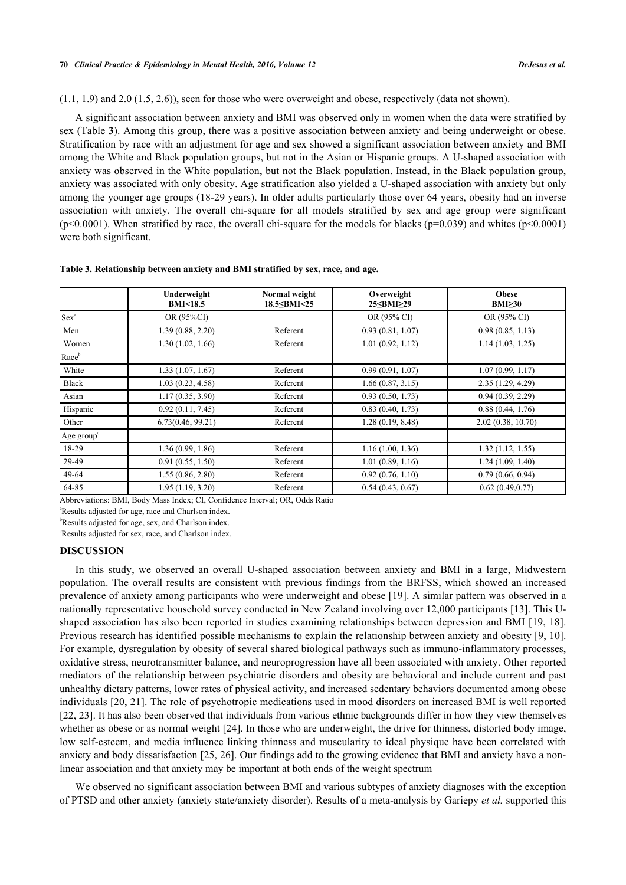#### **70** *Clinical Practice & Epidemiology in Mental Health, 2016, Volume 12 DeJesus et al.*

# (1.1, 1.9) and 2.0 (1.5, 2.6)), seen for those who were overweight and obese, respectively (data not shown).

A significant association between anxiety and BMI was observed only in women when the data were stratified by sex (Table **[3](#page-3-0)**). Among this group, there was a positive association between anxiety and being underweight or obese. Stratification by race with an adjustment for age and sex showed a significant association between anxiety and BMI among the White and Black population groups, but not in the Asian or Hispanic groups. A U-shaped association with anxiety was observed in the White population, but not the Black population. Instead, in the Black population group, anxiety was associated with only obesity. Age stratification also yielded a U-shaped association with anxiety but only among the younger age groups (18-29 years). In older adults particularly those over 64 years, obesity had an inverse association with anxiety. The overall chi-square for all models stratified by sex and age group were significant (p<0.0001). When stratified by race, the overall chi-square for the models for blacks (p=0.039) and whites (p<0.0001) were both significant.

|                        | Underweight<br><b>BMI&lt;18.5</b> | Normal weight<br>18.5 <bmi<25< th=""><th>Overweight<br/>25≤BMI≥29</th><th><b>Obese</b><br/><math>BMI \geq 30</math></th></bmi<25<> | Overweight<br>25≤BMI≥29 | <b>Obese</b><br>$BMI \geq 30$ |
|------------------------|-----------------------------------|------------------------------------------------------------------------------------------------------------------------------------|-------------------------|-------------------------------|
| Sex <sup>a</sup>       | OR (95%CI)                        |                                                                                                                                    | OR (95% CI)             | OR (95% CI)                   |
| Men                    | 1.39(0.88, 2.20)                  | Referent                                                                                                                           | 0.93(0.81, 1.07)        | 0.98(0.85, 1.13)              |
| Women                  | 1.30(1.02, 1.66)                  | Referent                                                                                                                           | 1.01(0.92, 1.12)        | 1.14(1.03, 1.25)              |
| Raceb                  |                                   |                                                                                                                                    |                         |                               |
| White                  | 1.33(1.07, 1.67)                  | Referent                                                                                                                           | 0.99(0.91, 1.07)        | 1.07(0.99, 1.17)              |
| Black                  | 1.03(0.23, 4.58)                  | Referent                                                                                                                           | 1.66(0.87, 3.15)        | 2.35(1.29, 4.29)              |
| Asian                  | 1.17(0.35, 3.90)                  | Referent                                                                                                                           | 0.93(0.50, 1.73)        | 0.94(0.39, 2.29)              |
| Hispanic               | 0.92(0.11, 7.45)                  | Referent                                                                                                                           | 0.83(0.40, 1.73)        | 0.88(0.44, 1.76)              |
| Other                  | 6.73(0.46, 99.21)                 | Referent                                                                                                                           | 1.28(0.19, 8.48)        | 2.02(0.38, 10.70)             |
| Age group <sup>c</sup> |                                   |                                                                                                                                    |                         |                               |
| 18-29                  | 1.36(0.99, 1.86)                  | Referent                                                                                                                           | 1.16(1.00, 1.36)        | 1.32(1.12, 1.55)              |
| 29-49                  | 0.91(0.55, 1.50)                  | Referent                                                                                                                           | 1.01(0.89, 1.16)        | 1.24(1.09, 1.40)              |
| 49-64                  | 1.55(0.86, 2.80)                  | Referent                                                                                                                           | 0.92(0.76, 1.10)        | 0.79(0.66, 0.94)              |
| 64-85                  | 1.95(1.19, 3.20)                  | Referent                                                                                                                           | 0.54(0.43, 0.67)        | 0.62(0.49, 0.77)              |

### <span id="page-3-0"></span>**Table 3. Relationship between anxiety and BMI stratified by sex, race, and age.**

Abbreviations: BMI, Body Mass Index; CI, Confidence Interval; OR, Odds Ratio

<sup>a</sup>Results adjusted for age, race and Charlson index.

**bResults adjusted for age, sex, and Charlson index.** 

<sup>c</sup>Results adjusted for sex, race, and Charlson index.

# **DISCUSSION**

In this study, we observed an overall U-shaped association between anxiety and BMI in a large, Midwestern population. The overall results are consistent with previous findings from the BRFSS, which showed an increased prevalence of anxiety among participants who were underweight and obese [\[19](#page-6-10)]. A similar pattern was observed in a nationally representative household survey conducted in New Zealand involving over 12,000 participants [[13\]](#page-6-4). This Ushaped association has also been reported in studies examining relationships between depression and BMI [\[19,](#page-6-10) [18\]](#page-6-9). Previous research has identified possible mechanisms to explain the relationship between anxiety and obesity [[9](#page-6-0), [10\]](#page-6-1). For example, dysregulation by obesity of several shared biological pathways such as immuno-inflammatory processes, oxidative stress, neurotransmitter balance, and neuroprogression have all been associated with anxiety. Other reported mediators of the relationship between psychiatric disorders and obesity are behavioral and include current and past unhealthy dietary patterns, lower rates of physical activity, and increased sedentary behaviors documented among obese individuals [\[20,](#page-6-11) [21](#page-6-12)]. The role of psychotropic medications used in mood disorders on increased BMI is well reported [\[22](#page-6-13), [23](#page-6-14)]. It has also been observed that individuals from various ethnic backgrounds differ in how they view themselves whether as obese or as normal weight [\[24](#page-6-15)]. In those who are underweight, the drive for thinness, distorted body image, low self-esteem, and media influence linking thinness and muscularity to ideal physique have been correlated with anxiety and body dissatisfaction [[25](#page-6-16), [26\]](#page-6-17). Our findings add to the growing evidence that BMI and anxiety have a nonlinear association and that anxiety may be important at both ends of the weight spectrum

We observed no significant association between BMI and various subtypes of anxiety diagnoses with the exception of PTSD and other anxiety (anxiety state/anxiety disorder). Results of a meta-analysis by Gariepy *et al.* supported this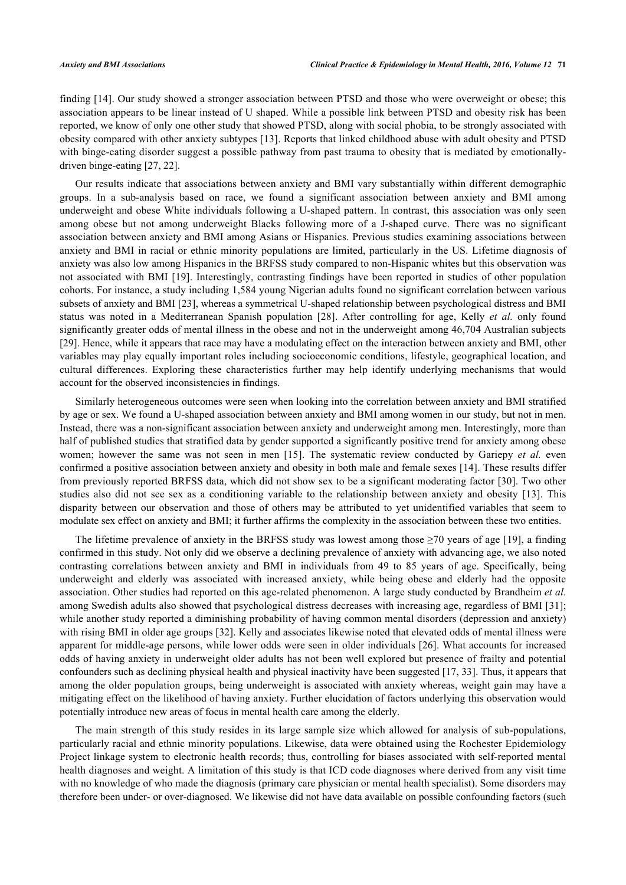finding [[14\]](#page-6-5). Our study showed a stronger association between PTSD and those who were overweight or obese; this association appears to be linear instead of U shaped. While a possible link between PTSD and obesity risk has been reported, we know of only one other study that showed PTSD, along with social phobia, to be strongly associated with obesity compared with other anxiety subtypes [[13](#page-6-4)]. Reports that linked childhood abuse with adult obesity and PTSD with binge-eating disorder suggest a possible pathway from past trauma to obesity that is mediated by emotionallydriven binge-eating [[27,](#page-6-18) [22\]](#page-6-13).

Our results indicate that associations between anxiety and BMI vary substantially within different demographic groups. In a sub-analysis based on race, we found a significant association between anxiety and BMI among underweight and obese White individuals following a U-shaped pattern. In contrast, this association was only seen among obese but not among underweight Blacks following more of a J-shaped curve. There was no significant association between anxiety and BMI among Asians or Hispanics. Previous studies examining associations between anxiety and BMI in racial or ethnic minority populations are limited, particularly in the US. Lifetime diagnosis of anxiety was also low among Hispanics in the BRFSS study compared to non-Hispanic whites but this observation was not associated with BMI [[19](#page-6-10)]. Interestingly, contrasting findings have been reported in studies of other population cohorts. For instance, a study including 1,584 young Nigerian adults found no significant correlation between various subsets of anxiety and BMI [[23\]](#page-6-14), whereas a symmetrical U-shaped relationship between psychological distress and BMI status was noted in a Mediterranean Spanish population [\[28](#page-6-19)]. After controlling for age, Kelly *et al.* only found significantly greater odds of mental illness in the obese and not in the underweight among 46,704 Australian subjects [\[29](#page-7-0)]. Hence, while it appears that race may have a modulating effect on the interaction between anxiety and BMI, other variables may play equally important roles including socioeconomic conditions, lifestyle, geographical location, and cultural differences. Exploring these characteristics further may help identify underlying mechanisms that would account for the observed inconsistencies in findings.

Similarly heterogeneous outcomes were seen when looking into the correlation between anxiety and BMI stratified by age or sex. We found a U-shaped association between anxiety and BMI among women in our study, but not in men. Instead, there was a non-significant association between anxiety and underweight among men. Interestingly, more than half of published studies that stratified data by gender supported a significantly positive trend for anxiety among obese women; however the same was not seen in men[[15\]](#page-6-6). The systematic review conducted by Gariepy *et al.* even confirmed a positive association between anxiety and obesity in both male and female sexes [[14\]](#page-6-5). These results differ from previously reported BRFSS data, which did not show sex to be a significant moderating factor [[30](#page-7-1)]. Two other studies also did not see sex as a conditioning variable to the relationship between anxiety and obesity [\[13\]](#page-6-4). This disparity between our observation and those of others may be attributed to yet unidentified variables that seem to modulate sex effect on anxiety and BMI; it further affirms the complexity in the association between these two entities.

The lifetime prevalence of anxiety in the BRFSS study was lowest among those  $\geq$ 70 years of age [\[19](#page-6-10)], a finding confirmed in this study. Not only did we observe a declining prevalence of anxiety with advancing age, we also noted contrasting correlations between anxiety and BMI in individuals from 49 to 85 years of age. Specifically, being underweight and elderly was associated with increased anxiety, while being obese and elderly had the opposite association. Other studies had reported on this age-related phenomenon. A large study conducted by Brandheim *et al.* among Swedish adults also showed that psychological distress decreases with increasing age, regardless of BMI [\[31](#page-7-2)]; while another study reported a diminishing probability of having common mental disorders (depression and anxiety) with rising BMI in older age groups [[32\]](#page-7-3). Kelly and associates likewise noted that elevated odds of mental illness were apparent for middle-age persons, while lower odds were seen in older individuals [[26\]](#page-6-17). What accounts for increased odds of having anxiety in underweight older adults has not been well explored but presence of frailty and potential confounders such as declining physical health and physical inactivity have been suggested [\[17](#page-6-8), [33](#page-7-4)]. Thus, it appears that among the older population groups, being underweight is associated with anxiety whereas, weight gain may have a mitigating effect on the likelihood of having anxiety. Further elucidation of factors underlying this observation would potentially introduce new areas of focus in mental health care among the elderly.

The main strength of this study resides in its large sample size which allowed for analysis of sub-populations, particularly racial and ethnic minority populations. Likewise, data were obtained using the Rochester Epidemiology Project linkage system to electronic health records; thus, controlling for biases associated with self-reported mental health diagnoses and weight. A limitation of this study is that ICD code diagnoses where derived from any visit time with no knowledge of who made the diagnosis (primary care physician or mental health specialist). Some disorders may therefore been under- or over-diagnosed. We likewise did not have data available on possible confounding factors (such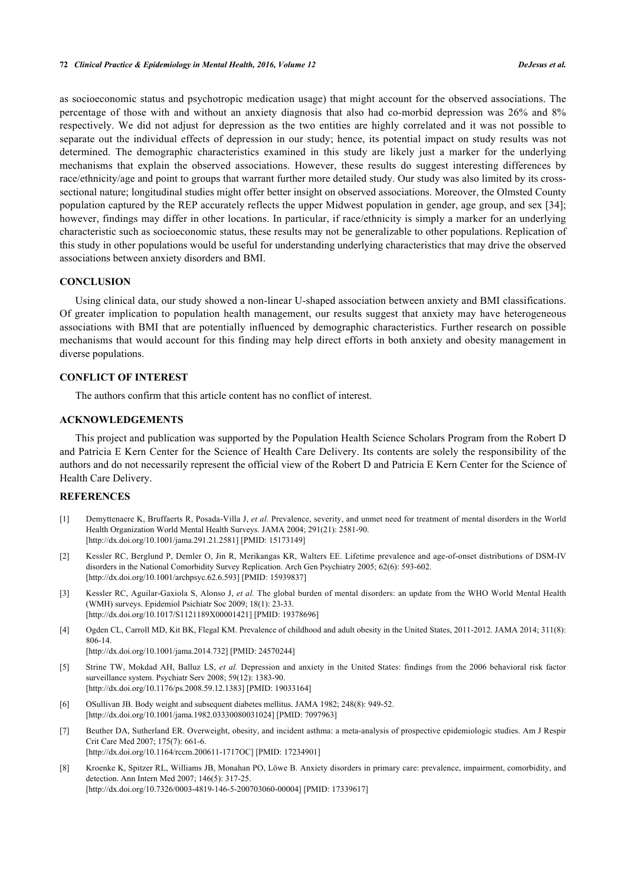as socioeconomic status and psychotropic medication usage) that might account for the observed associations. The percentage of those with and without an anxiety diagnosis that also had co-morbid depression was 26% and 8% respectively. We did not adjust for depression as the two entities are highly correlated and it was not possible to separate out the individual effects of depression in our study; hence, its potential impact on study results was not determined. The demographic characteristics examined in this study are likely just a marker for the underlying mechanisms that explain the observed associations. However, these results do suggest interesting differences by race/ethnicity/age and point to groups that warrant further more detailed study. Our study was also limited by its crosssectional nature; longitudinal studies might offer better insight on observed associations. Moreover, the Olmsted County population captured by the REP accurately reflects the upper Midwest population in gender, age group, and sex [\[34](#page-7-5)]; however, findings may differ in other locations. In particular, if race/ethnicity is simply a marker for an underlying characteristic such as socioeconomic status, these results may not be generalizable to other populations. Replication of this study in other populations would be useful for understanding underlying characteristics that may drive the observed associations between anxiety disorders and BMI.

# **CONCLUSION**

Using clinical data, our study showed a non-linear U-shaped association between anxiety and BMI classifications. Of greater implication to population health management, our results suggest that anxiety may have heterogeneous associations with BMI that are potentially influenced by demographic characteristics. Further research on possible mechanisms that would account for this finding may help direct efforts in both anxiety and obesity management in diverse populations.

#### **CONFLICT OF INTEREST**

The authors confirm that this article content has no conflict of interest.

# **ACKNOWLEDGEMENTS**

This project and publication was supported by the Population Health Science Scholars Program from the Robert D and Patricia E Kern Center for the Science of Health Care Delivery. Its contents are solely the responsibility of the authors and do not necessarily represent the official view of the Robert D and Patricia E Kern Center for the Science of Health Care Delivery.

### **REFERENCES**

- <span id="page-5-0"></span>[1] Demyttenaere K, Bruffaerts R, Posada-Villa J, *et al.* Prevalence, severity, and unmet need for treatment of mental disorders in the World Health Organization World Mental Health Surveys. JAMA 2004; 291(21): 2581-90. [\[http://dx.doi.org/10.1001/jama.291.21.2581](http://dx.doi.org/10.1001/jama.291.21.2581)] [PMID: [15173149\]](http://www.ncbi.nlm.nih.gov/pubmed/15173149)
- <span id="page-5-1"></span>[2] Kessler RC, Berglund P, Demler O, Jin R, Merikangas KR, Walters EE. Lifetime prevalence and age-of-onset distributions of DSM-IV disorders in the National Comorbidity Survey Replication. Arch Gen Psychiatry 2005; 62(6): 593-602. [\[http://dx.doi.org/10.1001/archpsyc.62.6.593](http://dx.doi.org/10.1001/archpsyc.62.6.593)] [PMID: [15939837\]](http://www.ncbi.nlm.nih.gov/pubmed/15939837)
- <span id="page-5-2"></span>[3] Kessler RC, Aguilar-Gaxiola S, Alonso J, *et al.* The global burden of mental disorders: an update from the WHO World Mental Health (WMH) surveys. Epidemiol Psichiatr Soc 2009; 18(1): 23-33. [\[http://dx.doi.org/10.1017/S1121189X00001421](http://dx.doi.org/10.1017/S1121189X00001421)] [PMID: [19378696\]](http://www.ncbi.nlm.nih.gov/pubmed/19378696)
- <span id="page-5-3"></span>[4] Ogden CL, Carroll MD, Kit BK, Flegal KM. Prevalence of childhood and adult obesity in the United States, 2011-2012. JAMA 2014; 311(8): 806-14. [\[http://dx.doi.org/10.1001/jama.2014.732](http://dx.doi.org/10.1001/jama.2014.732)] [PMID: [24570244\]](http://www.ncbi.nlm.nih.gov/pubmed/24570244)
	-
- <span id="page-5-4"></span>[5] Strine TW, Mokdad AH, Balluz LS, *et al.* Depression and anxiety in the United States: findings from the 2006 behavioral risk factor surveillance system. Psychiatr Serv 2008; 59(12): 1383-90. [\[http://dx.doi.org/10.1176/ps.2008.59.12.1383\]](http://dx.doi.org/10.1176/ps.2008.59.12.1383) [PMID: [19033164](http://www.ncbi.nlm.nih.gov/pubmed/19033164)]
- <span id="page-5-5"></span>[6] OSullivan JB. Body weight and subsequent diabetes mellitus. JAMA 1982; 248(8): 949-52. [\[http://dx.doi.org/10.1001/jama.1982.03330080031024](http://dx.doi.org/10.1001/jama.1982.03330080031024)] [PMID: [7097963\]](http://www.ncbi.nlm.nih.gov/pubmed/7097963)
- [7] Beuther DA, Sutherland ER. Overweight, obesity, and incident asthma: a meta-analysis of prospective epidemiologic studies. Am J Respir Crit Care Med 2007; 175(7): 661-6. [\[http://dx.doi.org/10.1164/rccm.200611-1717OC\]](http://dx.doi.org/10.1164/rccm.200611-1717OC) [PMID: [17234901](http://www.ncbi.nlm.nih.gov/pubmed/17234901)]
- <span id="page-5-6"></span>[8] Kroenke K, Spitzer RL, Williams JB, Monahan PO, Löwe B. Anxiety disorders in primary care: prevalence, impairment, comorbidity, and detection. Ann Intern Med 2007; 146(5): 317-25. [\[http://dx.doi.org/10.7326/0003-4819-146-5-200703060-00004](http://dx.doi.org/10.7326/0003-4819-146-5-200703060-00004)] [PMID: [17339617\]](http://www.ncbi.nlm.nih.gov/pubmed/17339617)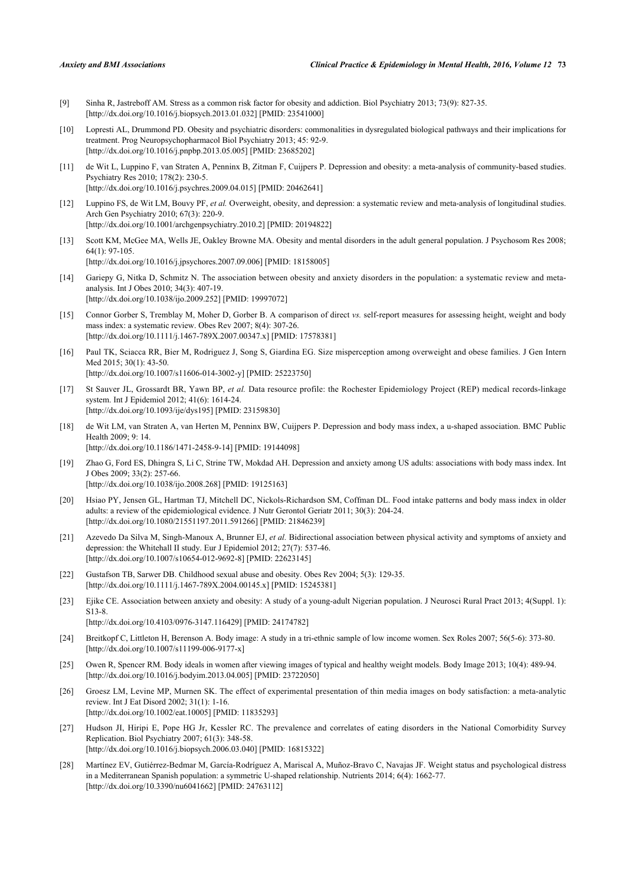- <span id="page-6-0"></span>[9] Sinha R, Jastreboff AM. Stress as a common risk factor for obesity and addiction. Biol Psychiatry 2013; 73(9): 827-35. [\[http://dx.doi.org/10.1016/j.biopsych.2013.01.032\]](http://dx.doi.org/10.1016/j.biopsych.2013.01.032) [PMID: [23541000](http://www.ncbi.nlm.nih.gov/pubmed/23541000)]
- <span id="page-6-1"></span>[10] Lopresti AL, Drummond PD. Obesity and psychiatric disorders: commonalities in dysregulated biological pathways and their implications for treatment. Prog Neuropsychopharmacol Biol Psychiatry 2013; 45: 92-9. [\[http://dx.doi.org/10.1016/j.pnpbp.2013.05.005](http://dx.doi.org/10.1016/j.pnpbp.2013.05.005)] [PMID: [23685202\]](http://www.ncbi.nlm.nih.gov/pubmed/23685202)
- <span id="page-6-2"></span>[11] de Wit L, Luppino F, van Straten A, Penninx B, Zitman F, Cuijpers P. Depression and obesity: a meta-analysis of community-based studies. Psychiatry Res 2010; 178(2): 230-5. [\[http://dx.doi.org/10.1016/j.psychres.2009.04.015](http://dx.doi.org/10.1016/j.psychres.2009.04.015)] [PMID: [20462641\]](http://www.ncbi.nlm.nih.gov/pubmed/20462641)
- <span id="page-6-3"></span>[12] Luppino FS, de Wit LM, Bouvy PF, *et al.* Overweight, obesity, and depression: a systematic review and meta-analysis of longitudinal studies. Arch Gen Psychiatry 2010; 67(3): 220-9. [\[http://dx.doi.org/10.1001/archgenpsychiatry.2010.2](http://dx.doi.org/10.1001/archgenpsychiatry.2010.2)] [PMID: [20194822](http://www.ncbi.nlm.nih.gov/pubmed/20194822)]
- <span id="page-6-4"></span>[13] Scott KM, McGee MA, Wells JE, Oakley Browne MA. Obesity and mental disorders in the adult general population. J Psychosom Res 2008; 64(1): 97-105. [\[http://dx.doi.org/10.1016/j.jpsychores.2007.09.006](http://dx.doi.org/10.1016/j.jpsychores.2007.09.006)] [PMID: [18158005\]](http://www.ncbi.nlm.nih.gov/pubmed/18158005)
- <span id="page-6-5"></span>[14] Gariepy G, Nitka D, Schmitz N. The association between obesity and anxiety disorders in the population: a systematic review and metaanalysis. Int J Obes 2010; 34(3): 407-19.
- [\[http://dx.doi.org/10.1038/ijo.2009.252](http://dx.doi.org/10.1038/ijo.2009.252)] [PMID: [19997072\]](http://www.ncbi.nlm.nih.gov/pubmed/19997072)
- <span id="page-6-6"></span>[15] Connor Gorber S, Tremblay M, Moher D, Gorber B. A comparison of direct *vs.* self-report measures for assessing height, weight and body mass index: a systematic review. Obes Rev 2007; 8(4): 307-26. [\[http://dx.doi.org/10.1111/j.1467-789X.2007.00347.x](http://dx.doi.org/10.1111/j.1467-789X.2007.00347.x)] [PMID: [17578381](http://www.ncbi.nlm.nih.gov/pubmed/17578381)]
- <span id="page-6-7"></span>[16] Paul TK, Sciacca RR, Bier M, Rodriguez J, Song S, Giardina EG. Size misperception among overweight and obese families. J Gen Intern Med 2015; 30(1): 43-50. [\[http://dx.doi.org/10.1007/s11606-014-3002-y\]](http://dx.doi.org/10.1007/s11606-014-3002-y) [PMID: [25223750](http://www.ncbi.nlm.nih.gov/pubmed/25223750)]
- <span id="page-6-8"></span>[17] St Sauver JL, Grossardt BR, Yawn BP, *et al.* Data resource profile: the Rochester Epidemiology Project (REP) medical records-linkage system. Int J Epidemiol 2012; 41(6): 1614-24. [\[http://dx.doi.org/10.1093/ije/dys195](http://dx.doi.org/10.1093/ije/dys195)] [PMID: [23159830\]](http://www.ncbi.nlm.nih.gov/pubmed/23159830)
- <span id="page-6-9"></span>[18] de Wit LM, van Straten A, van Herten M, Penninx BW, Cuijpers P. Depression and body mass index, a u-shaped association. BMC Public Health 2009; 9: 14. [\[http://dx.doi.org/10.1186/1471-2458-9-14\]](http://dx.doi.org/10.1186/1471-2458-9-14) [PMID: [19144098](http://www.ncbi.nlm.nih.gov/pubmed/19144098)]
- <span id="page-6-10"></span>[19] Zhao G, Ford ES, Dhingra S, Li C, Strine TW, Mokdad AH. Depression and anxiety among US adults: associations with body mass index. Int J Obes 2009; 33(2): 257-66. [\[http://dx.doi.org/10.1038/ijo.2008.268](http://dx.doi.org/10.1038/ijo.2008.268)] [PMID: [19125163\]](http://www.ncbi.nlm.nih.gov/pubmed/19125163)
- <span id="page-6-11"></span>[20] Hsiao PY, Jensen GL, Hartman TJ, Mitchell DC, Nickols-Richardson SM, Coffman DL. Food intake patterns and body mass index in older adults: a review of the epidemiological evidence. J Nutr Gerontol Geriatr 2011; 30(3): 204-24. [\[http://dx.doi.org/10.1080/21551197.2011.591266\]](http://dx.doi.org/10.1080/21551197.2011.591266) [PMID: [21846239](http://www.ncbi.nlm.nih.gov/pubmed/21846239)]
- <span id="page-6-12"></span>[21] Azevedo Da Silva M, Singh-Manoux A, Brunner EJ, *et al.* Bidirectional association between physical activity and symptoms of anxiety and depression: the Whitehall II study. Eur J Epidemiol 2012; 27(7): 537-46. [\[http://dx.doi.org/10.1007/s10654-012-9692-8\]](http://dx.doi.org/10.1007/s10654-012-9692-8) [PMID: [22623145](http://www.ncbi.nlm.nih.gov/pubmed/22623145)]
- <span id="page-6-13"></span>[22] Gustafson TB, Sarwer DB. Childhood sexual abuse and obesity. Obes Rev 2004; 5(3): 129-35. [\[http://dx.doi.org/10.1111/j.1467-789X.2004.00145.x](http://dx.doi.org/10.1111/j.1467-789X.2004.00145.x)] [PMID: [15245381](http://www.ncbi.nlm.nih.gov/pubmed/15245381)]
- <span id="page-6-14"></span>[23] Ejike CE. Association between anxiety and obesity: A study of a young-adult Nigerian population. J Neurosci Rural Pract 2013; 4(Suppl. 1): S13-8. [\[http://dx.doi.org/10.4103/0976-3147.116429](http://dx.doi.org/10.4103/0976-3147.116429)] [PMID: [24174782](http://www.ncbi.nlm.nih.gov/pubmed/24174782)]
	-
- <span id="page-6-15"></span>[24] Breitkopf C, Littleton H, Berenson A. Body image: A study in a tri-ethnic sample of low income women. Sex Roles 2007; 56(5-6): 373-80. [\[http://dx.doi.org/10.1007/s11199-006-9177-x\]](http://dx.doi.org/10.1007/s11199-006-9177-x)
- <span id="page-6-16"></span>[25] Owen R, Spencer RM. Body ideals in women after viewing images of typical and healthy weight models. Body Image 2013; 10(4): 489-94. [\[http://dx.doi.org/10.1016/j.bodyim.2013.04.005](http://dx.doi.org/10.1016/j.bodyim.2013.04.005)] [PMID: [23722050](http://www.ncbi.nlm.nih.gov/pubmed/23722050)]
- <span id="page-6-17"></span>[26] Groesz LM, Levine MP, Murnen SK. The effect of experimental presentation of thin media images on body satisfaction: a meta-analytic review. Int J Eat Disord 2002; 31(1): 1-16. [\[http://dx.doi.org/10.1002/eat.10005](http://dx.doi.org/10.1002/eat.10005)] [PMID: [11835293\]](http://www.ncbi.nlm.nih.gov/pubmed/11835293)
- <span id="page-6-18"></span>[27] Hudson JI, Hiripi E, Pope HG Jr, Kessler RC. The prevalence and correlates of eating disorders in the National Comorbidity Survey Replication. Biol Psychiatry 2007; 61(3): 348-58. [\[http://dx.doi.org/10.1016/j.biopsych.2006.03.040\]](http://dx.doi.org/10.1016/j.biopsych.2006.03.040) [PMID: [16815322](http://www.ncbi.nlm.nih.gov/pubmed/16815322)]
- <span id="page-6-19"></span>[28] Martínez EV, Gutiérrez-Bedmar M, García-Rodríguez A, Mariscal A, Muñoz-Bravo C, Navajas JF. Weight status and psychological distress in a Mediterranean Spanish population: a symmetric U-shaped relationship. Nutrients 2014; 6(4): 1662-77. [\[http://dx.doi.org/10.3390/nu6041662\]](http://dx.doi.org/10.3390/nu6041662) [PMID: [24763112](http://www.ncbi.nlm.nih.gov/pubmed/24763112)]